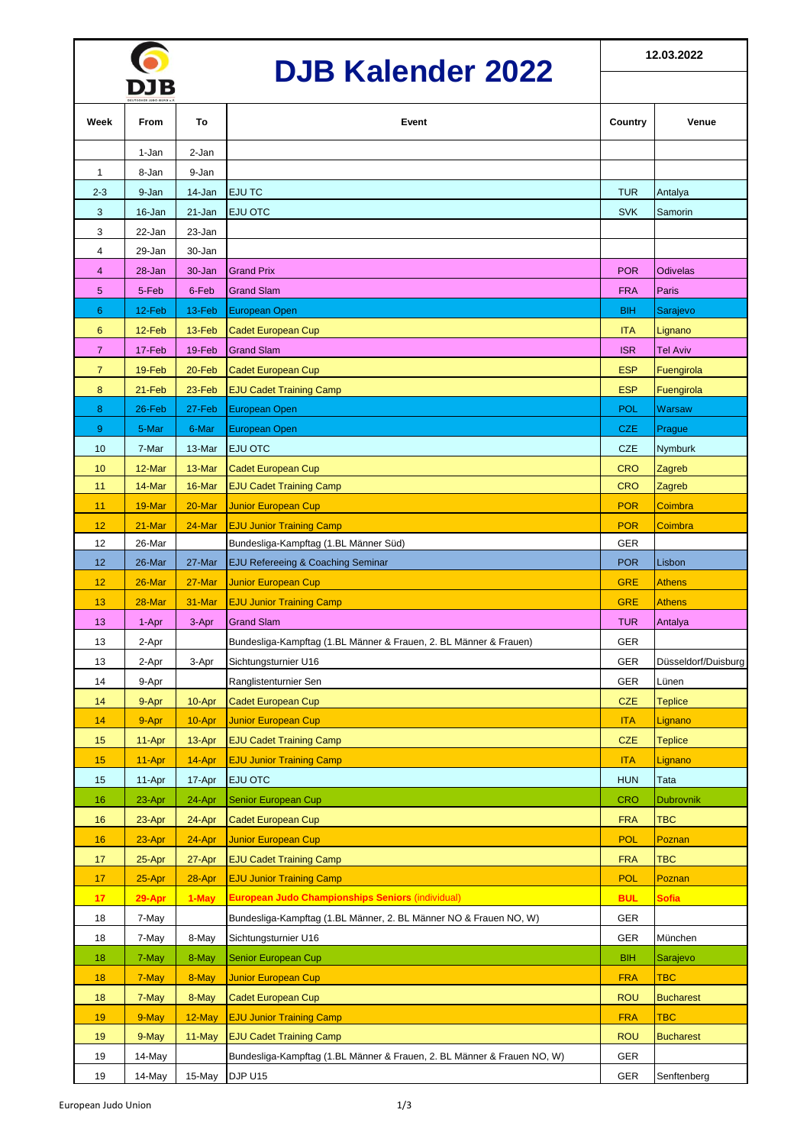## **DJB Kalender 2022**

|                | www.        |          |                                                                         |            |                     |  |  |
|----------------|-------------|----------|-------------------------------------------------------------------------|------------|---------------------|--|--|
| Week           | <b>From</b> | To       | Event                                                                   | Country    | Venue               |  |  |
|                | 1-Jan       | 2-Jan    |                                                                         |            |                     |  |  |
| 1              | 8-Jan       | 9-Jan    |                                                                         |            |                     |  |  |
| $2 - 3$        | 9-Jan       | 14-Jan   | <b>EJU TC</b>                                                           | <b>TUR</b> | Antalya             |  |  |
| 3              | 16-Jan      | 21-Jan   | EJU OTC                                                                 | <b>SVK</b> | Samorin             |  |  |
| 3              | 22-Jan      | 23-Jan   |                                                                         |            |                     |  |  |
| 4              | 29-Jan      | 30-Jan   |                                                                         |            |                     |  |  |
| $\overline{4}$ | 28-Jan      | 30-Jan   | <b>Grand Prix</b>                                                       | <b>POR</b> | <b>Odivelas</b>     |  |  |
| 5              | 5-Feb       | 6-Feb    | <b>Grand Slam</b>                                                       | <b>FRA</b> | Paris               |  |  |
| 6              | 12-Feb      | 13-Feb   | European Open                                                           | <b>BIH</b> | Sarajevo            |  |  |
| 6              | 12-Feb      | $13-Feb$ | <b>Cadet European Cup</b>                                               | <b>ITA</b> | Lignano             |  |  |
| $\overline{7}$ | 17-Feb      | 19-Feb   | <b>Grand Slam</b>                                                       | <b>ISR</b> | <b>Tel Aviv</b>     |  |  |
| $\overline{7}$ | 19-Feb      | 20-Feb   | <b>Cadet European Cup</b>                                               | <b>ESP</b> | Fuengirola          |  |  |
| 8              | 21-Feb      | 23-Feb   | <b>EJU Cadet Training Camp</b>                                          | <b>ESP</b> | Fuengirola          |  |  |
| 8              | 26-Feb      | 27-Feb   | <b>European Open</b>                                                    | <b>POL</b> | <b>Warsaw</b>       |  |  |
| 9              | 5-Mar       | 6-Mar    | European Open                                                           | <b>CZE</b> | Prague              |  |  |
| 10             | 7-Mar       | 13-Mar   | <b>EJU OTC</b>                                                          | <b>CZE</b> | Nymburk             |  |  |
| 10             | 12-Mar      | 13-Mar   | <b>Cadet European Cup</b>                                               | <b>CRO</b> | Zagreb              |  |  |
| 11             | 14-Mar      | 16-Mar   | <b>EJU Cadet Training Camp</b>                                          | <b>CRO</b> | Zagreb              |  |  |
| 11             | 19-Mar      | 20-Mar   | <b>Junior European Cup</b>                                              | <b>POR</b> | Coimbra             |  |  |
| 12             | 21-Mar      | 24-Mar   | <b>EJU Junior Training Camp</b>                                         | <b>POR</b> | Coimbra             |  |  |
| 12             | 26-Mar      |          | Bundesliga-Kampftag (1.BL Männer Süd)                                   | <b>GER</b> |                     |  |  |
| 12             | 26-Mar      | 27-Mar   | <b>EJU Refereeing &amp; Coaching Seminar</b>                            | <b>POR</b> | Lisbon              |  |  |
| 12             | 26-Mar      | 27-Mar   | <b>Junior European Cup</b>                                              | <b>GRE</b> | <b>Athens</b>       |  |  |
| 13             | 28-Mar      | 31-Mar   | <b>EJU Junior Training Camp</b>                                         | <b>GRE</b> | <b>Athens</b>       |  |  |
| 13             | 1-Apr       | 3-Apr    | <b>Grand Slam</b>                                                       | <b>TUR</b> | Antalya             |  |  |
| 13             | 2-Apr       |          | Bundesliga-Kampftag (1.BL Männer & Frauen, 2. BL Männer & Frauen)       | <b>GER</b> |                     |  |  |
| 13             | 2-Apr       | 3-Apr    | Sichtungsturnier U16                                                    | <b>GER</b> | Düsseldorf/Duisburg |  |  |
| 14             | 9-Apr       |          | Ranglistenturnier Sen                                                   | <b>GER</b> | Lünen               |  |  |
| 14             | 9-Apr       | 10-Apr   | <b>Cadet European Cup</b>                                               | <b>CZE</b> | <b>Teplice</b>      |  |  |
| 14             | 9-Apr       | 10-Apr   | <b>Junior European Cup</b>                                              | <b>ITA</b> | Lignano             |  |  |
| 15             | 11-Apr      | 13-Apr   | <b>EJU Cadet Training Camp</b>                                          | <b>CZE</b> | <b>Teplice</b>      |  |  |
| 15             | 11-Apr      | 14-Apr   | <b>EJU Junior Training Camp</b>                                         | <b>ITA</b> | Lignano             |  |  |
| 15             | 11-Apr      | 17-Apr   | <b>EJU OTC</b>                                                          | <b>HUN</b> | Tata                |  |  |
| 16             | 23-Apr      | 24-Apr   | Senior European Cup                                                     | <b>CRO</b> | <b>Dubrovnik</b>    |  |  |
| 16             | 23-Apr      | 24-Apr   | <b>Cadet European Cup</b>                                               | <b>FRA</b> | <b>TBC</b>          |  |  |
| 16             | 23-Apr      | 24-Apr   | <b>Junior European Cup</b>                                              | <b>POL</b> | Poznan              |  |  |
| 17             | 25-Apr      | 27-Apr   | <b>EJU Cadet Training Camp</b>                                          | <b>FRA</b> | <b>TBC</b>          |  |  |
| 17             | 25-Apr      | 28-Apr   | <b>EJU Junior Training Camp</b>                                         | <b>POL</b> | Poznan              |  |  |
| 17             | 29-Apr      | 1-May    | <b>European Judo Championships Seniors (individual)</b>                 | <b>BUL</b> | <b>Sofia</b>        |  |  |
| 18             | 7-May       |          | Bundesliga-Kampftag (1.BL Männer, 2. BL Männer NO & Frauen NO, W)       | <b>GER</b> |                     |  |  |
| 18             | 7-May       | 8-May    | Sichtungsturnier U16                                                    | GER        | München             |  |  |
| 18             | 7-May       | 8-May    | <b>Senior European Cup</b>                                              | <b>BIH</b> | Sarajevo            |  |  |
| 18             | 7-May       | 8-May    | <b>Junior European Cup</b>                                              | <b>FRA</b> | <b>TBC</b>          |  |  |
| 18             | 7-May       | 8-May    | <b>Cadet European Cup</b>                                               | <b>ROU</b> | <b>Bucharest</b>    |  |  |
| 19             | 9-May       | 12-May   | <b>EJU Junior Training Camp</b>                                         | <b>FRA</b> | TBC                 |  |  |
| 19             | 9-May       | 11-May   | <b>EJU Cadet Training Camp</b>                                          | <b>ROU</b> | <b>Bucharest</b>    |  |  |
| 19             | 14-May      |          | Bundesliga-Kampftag (1.BL Männer & Frauen, 2. BL Männer & Frauen NO, W) | GER        |                     |  |  |
| 19             | 14-May      | 15-May   | DJP U15                                                                 | GER        | Senftenberg         |  |  |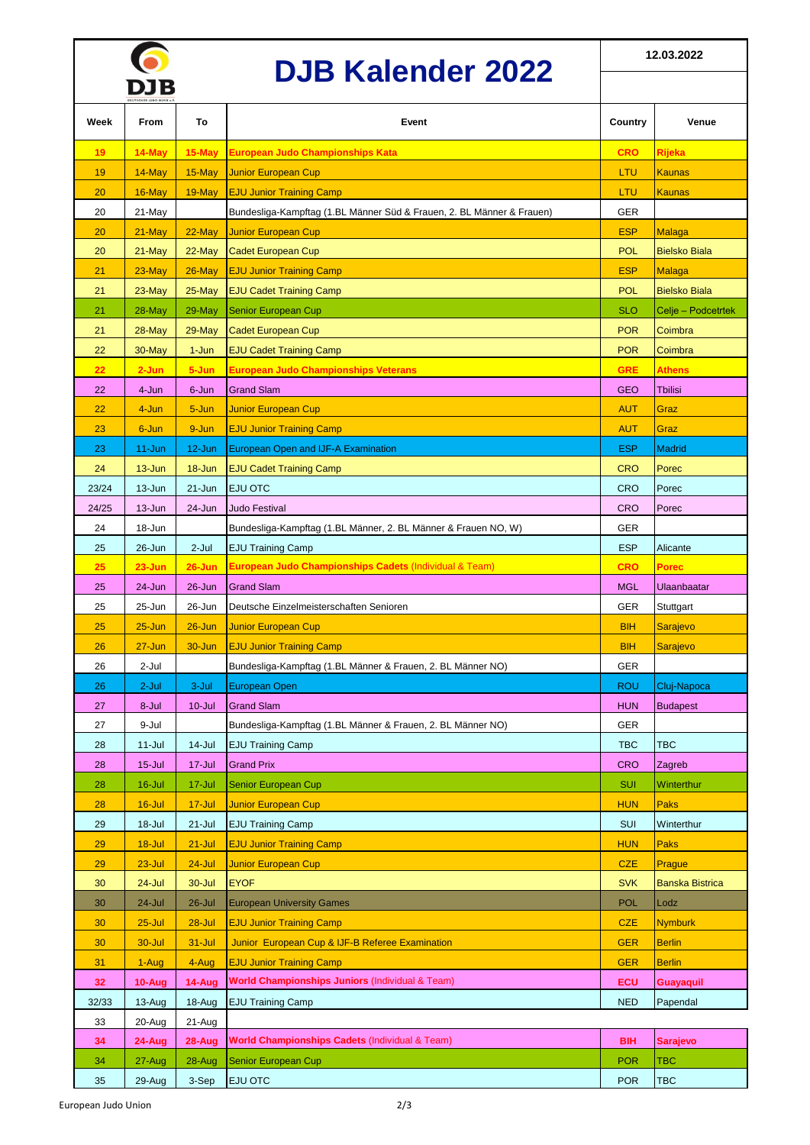|  | <b>DJB Kalender 2022</b> |
|--|--------------------------|
|  |                          |

**12.03.2022**

|       | DUD INGIGHUGI <i>L</i> ULL<br>DJB |            |                                                                       |                          |                        |
|-------|-----------------------------------|------------|-----------------------------------------------------------------------|--------------------------|------------------------|
| Week  | From                              | To         | Event                                                                 | Country                  | Venue                  |
| 19    | 14-May                            | 15-May     | European Judo Championships Kata                                      | <b>CRO</b>               | Rijeka                 |
| 19    | 14-May                            | 15-May     | <b>Junior European Cup</b>                                            | LTU                      | Kaunas                 |
| 20    | 16-May                            | 19-May     | <b>EJU Junior Training Camp</b>                                       | LTU                      | Kaunas                 |
| 20    | 21-May                            |            | Bundesliga-Kampftag (1.BL Männer Süd & Frauen, 2. BL Männer & Frauen) | <b>GER</b>               |                        |
| 20    | 21-May                            | 22-May     | <b>Junior European Cup</b>                                            | <b>ESP</b>               | Malaga                 |
| 20    | 21-May                            | 22-May     | <b>Cadet European Cup</b>                                             | <b>POL</b>               | <b>Bielsko Biala</b>   |
| 21    | $23$ -May                         | 26-May     | <b>EJU Junior Training Camp</b>                                       | <b>ESP</b>               | <b>Malaga</b>          |
| 21    | $23$ -May                         | 25-May     | <b>EJU Cadet Training Camp</b>                                        | <b>POL</b>               | <b>Bielsko Biala</b>   |
| 21    | 28-May                            | 29-May     | Senior European Cup                                                   | <b>SLO</b>               | Celje – Podcetrtek     |
| 21    | $28$ -May                         | 29-May     | <b>Cadet European Cup</b>                                             | <b>POR</b>               | Coimbra                |
| 22    | 30-May                            | 1-Jun      | <b>EJU Cadet Training Camp</b>                                        | <b>POR</b>               | Coimbra                |
| 22    | $2 - Jun$                         | 5-Jun      | <b>European Judo Championships Veterans</b>                           | <b>GRE</b>               | Athens                 |
| 22    | 4-Jun                             | 6-Jun      | <b>Grand Slam</b>                                                     | <b>GEO</b>               | <b>Tbilisi</b>         |
| 22    | 4-Jun                             | 5-Jun      | <b>Junior European Cup</b>                                            | <b>AUT</b>               | Graz                   |
| 23    | 6-Jun                             | 9-Jun      | <b>EJU Junior Training Camp</b>                                       | <b>AUT</b>               | Graz                   |
| 23    | $11 - Jun$                        | 12-Jun     | European Open and IJF-A Examination                                   | <b>ESP</b>               | <b>Madrid</b>          |
| 24    | $13 - Jun$                        | 18-Jun     | <b>EJU Cadet Training Camp</b>                                        | <b>CRO</b>               | Porec                  |
| 23/24 | 13-Jun                            | 21-Jun     | <b>EJU OTC</b>                                                        | CRO                      | Porec                  |
| 24/25 | $13 - Jun$                        | 24-Jun     | <b>Judo Festival</b>                                                  | CRO                      | Porec                  |
| 24    | 18-Jun                            |            | Bundesliga-Kampftag (1.BL Männer, 2. BL Männer & Frauen NO, W)        | GER                      |                        |
| 25    | 26-Jun                            | $2-Jul$    | <b>EJU Training Camp</b>                                              | <b>ESP</b>               | Alicante               |
| 25    | $23 - Jun$                        | $26 - Jun$ | <b>European Judo Championships Cadets (Individual &amp; Team)</b>     | <b>CRO</b>               | Porec                  |
| 25    | 24-Jun                            | 26-Jun     | <b>Grand Slam</b>                                                     | <b>MGL</b>               | <b>Ulaanbaatar</b>     |
| 25    | 25-Jun                            | 26-Jun     | Deutsche Einzelmeisterschaften Senioren                               | <b>GER</b>               | Stuttgart              |
| 25    | $25 - Jun$                        | $26 - Jun$ | <b>Junior European Cup</b>                                            | <b>BIH</b>               | <b>Sarajevo</b>        |
| 26    | $27 - Jun$                        | 30-Jun     | <b>EJU Junior Training Camp</b>                                       | <b>BIH</b>               | Sarajevo               |
| 26    | 2-Jul                             |            | Bundesliga-Kampftag (1.BL Männer & Frauen, 2. BL Männer NO)           | GER                      |                        |
| 26    | $2$ -Jul                          | $3-Jul$    | European Open                                                         | <b>ROU</b>               | Cluj-Napoca            |
| 27    | 8-Jul                             | $10 -$ Jul | <b>Grand Slam</b>                                                     | <b>HUN</b>               | <b>Budapest</b>        |
| 27    | 9-Jul                             |            | Bundesliga-Kampftag (1.BL Männer & Frauen, 2. BL Männer NO)           | <b>GER</b>               |                        |
| 28    | $11 -$ Jul                        | $14$ -Jul  | <b>EJU Training Camp</b>                                              | <b>TBC</b>               | <b>TBC</b>             |
| 28    | $15 -$ Jul                        | 17-Jul     | <b>Grand Prix</b>                                                     | <b>CRO</b>               | Zagreb                 |
| 28    | $16$ -Jul                         | 17-Jul     | <b>Senior European Cup</b>                                            | <b>SUI</b>               | Winterthur             |
| 28    | $16$ -Jul                         | $17 -$ Jul | <b>Junior European Cup</b>                                            | <b>HUN</b>               | Paks                   |
| 29    | 18-Jul                            | $21 -$ Jul | <b>EJU Training Camp</b>                                              | SUI                      | Winterthur             |
| 29    | $18 -$ Jul                        | $21 -$ Jul | <b>EJU Junior Training Camp</b>                                       | <b>HUN</b>               | Paks                   |
| 29    | $23 -$ Jul                        | $24$ -Jul  | <b>Junior European Cup</b>                                            | <b>CZE</b>               | Prague                 |
| 30    | 24-Jul                            | 30-Jul     | <b>EYOF</b>                                                           | <b>SVK</b>               | <b>Banska Bistrica</b> |
| 30    | 24-Jul                            | 26-Jul     | <b>European University Games</b>                                      | <b>POL</b>               | Lodz                   |
| 30    | $25 -$ Jul                        | $28 -$ Jul | <b>EJU Junior Training Camp</b>                                       | <b>CZE</b>               | <b>Nymburk</b>         |
| 30    | 30-Jul                            | $31 -$ Jul | Junior European Cup & IJF-B Referee Examination                       | <b>GER</b>               | <b>Berlin</b>          |
| 31    |                                   | 4-Aug      | <b>EJU Junior Training Camp</b>                                       | <b>GER</b>               | <b>Berlin</b>          |
|       | 1-Aug                             |            | <b>World Championships Juniors (Individual &amp; Team)</b>            |                          |                        |
| 32    | 10-Aug                            | 14-Aug     |                                                                       | ECU                      | <b>Guayaquil</b>       |
| 32/33 | 13-Aug                            | 18-Aug     | <b>EJU Training Camp</b>                                              | <b>NED</b>               | Papendal               |
| 33    | 20-Aug                            | 21-Aug     | <b>World Championships Cadets (Individual &amp; Team)</b>             |                          |                        |
| 34    | 24-Aug                            | 28-Aug     | <b>Senior European Cup</b>                                            | <b>BIH</b><br><b>POR</b> | <b>Sarajevo</b><br>TBC |
| 34    | 27-Aug                            | 28-Aug     |                                                                       |                          |                        |
| 35    | 29-Aug                            | 3-Sep      | <b>EJU OTC</b>                                                        | <b>POR</b>               | <b>TBC</b>             |

 $\bullet$